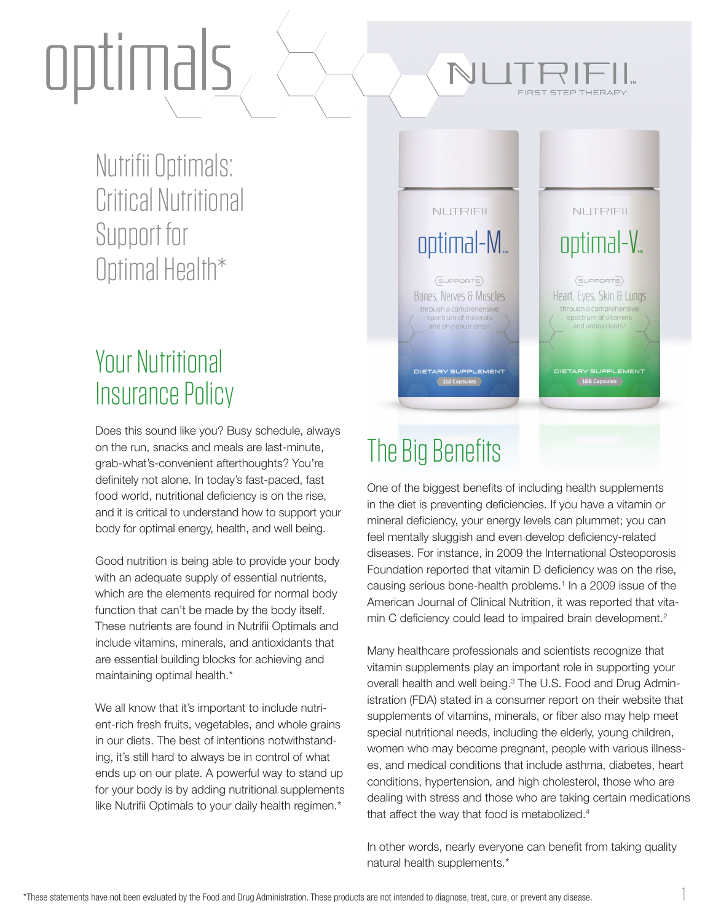# optimals

Nutrifii Optimals: Critical Nutritional Support for Optimal Health\*

### Your Nutritional Insurance Policy

Does this sound like you? Busy schedule, always on the run, snacks and meals are last-minute, grab-what's-convenient afterthoughts? You're definitely not alone. In today's fast-paced, fast food world, nutritional deficiency is on the rise, and it is critical to understand how to support your body for optimal energy, health, and well being.

Good nutrition is being able to provide your body with an adequate supply of essential nutrients, which are the elements required for normal body function that can't be made by the body itself. These nutrients are found in Nutrifii Optimals and include vitamins, minerals, and antioxidants that are essential building blocks for achieving and maintaining optimal health.\*

We all know that it's important to include nutrient-rich fresh fruits, vegetables, and whole grains in our diets. The best of intentions notwithstanding, it's still hard to always be in control of what ends up on our plate. A powerful way to stand up for your body is by adding nutritional supplements like Nutrifii Optimals to your daily health regimen.\*

#### NUTRIFIL NUTRIFIL optimal-M<sub>m</sub> optimal-V<sub>m</sub>  $\langle$ SUPPORTS $\rangle$  $\langle$ SUPPORTS $\rangle$ **Bones, Nerves & Muscles** Heart, Eyes, Skin & Lungs through a comprehensive through a comprehensive spectrum of vitamins spectrum of minerals ETARY SUPPLEMEN<br>(168 Capsules DIETARY SUPPLEMENT The Big Benefits

FIRST STEP THERAPY

One of the biggest benefits of including health supplements in the diet is preventing deficiencies. If you have a vitamin or mineral deficiency, your energy levels can plummet; you can feel mentally sluggish and even develop deficiency-related diseases. For instance, in 2009 the International Osteoporosis Foundation reported that vitamin D deficiency was on the rise, causing serious bone-health problems.<sup>1</sup> In a 2009 issue of the American Journal of Clinical Nutrition, it was reported that vitamin C deficiency could lead to impaired brain development.<sup>2</sup>

Many healthcare professionals and scientists recognize that vitamin supplements play an important role in supporting your overall health and well being.<sup>3</sup> The U.S. Food and Drug Administration (FDA) stated in a consumer report on their website that supplements of vitamins, minerals, or fiber also may help meet special nutritional needs, including the elderly, young children, women who may become pregnant, people with various illnesses, and medical conditions that include asthma, diabetes, heart conditions, hypertension, and high cholesterol, those who are dealing with stress and those who are taking certain medications that affect the way that food is metabolized.<sup>4</sup>

In other words, nearly everyone can benefit from taking quality natural health supplements.\*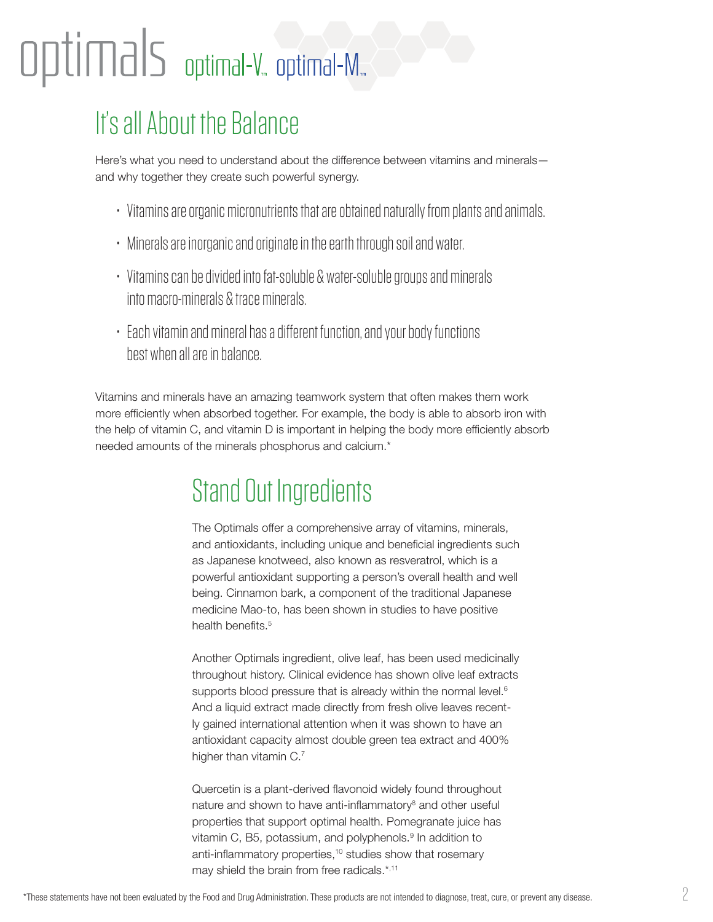## $\rho$ timal $S$  optimal-V. optimal-M.

### It's all About the Balance

Here's what you need to understand about the difference between vitamins and minerals and why together they create such powerful synergy.

- Vitamins are organic micronutrients that are obtained naturally from plants and animals.
- Minerals are inorganic and originate in the earth through soil and water.
- Vitamins can be divided into fat-soluble & water-soluble groups and minerals into macro-minerals & trace minerals.
- Each vitamin and mineral has a different function, and your body functions best when all are in balance.

Vitamins and minerals have an amazing teamwork system that often makes them work more efficiently when absorbed together. For example, the body is able to absorb iron with the help of vitamin C, and vitamin D is important in helping the body more efficiently absorb needed amounts of the minerals phosphorus and calcium.\*

## Stand Out Ingredients

The Optimals offer a comprehensive array of vitamins, minerals, and antioxidants, including unique and beneficial ingredients such as Japanese knotweed, also known as resveratrol, which is a powerful antioxidant supporting a person's overall health and well being. Cinnamon bark, a component of the traditional Japanese medicine Mao-to, has been shown in studies to have positive health benefits.<sup>5</sup>

Another Optimals ingredient, olive leaf, has been used medicinally throughout history. Clinical evidence has shown olive leaf extracts supports blood pressure that is already within the normal level.<sup>6</sup> And a liquid extract made directly from fresh olive leaves recently gained international attention when it was shown to have an antioxidant capacity almost double green tea extract and 400% higher than vitamin C.<sup>7</sup>

Quercetin is a plant-derived flavonoid widely found throughout nature and shown to have anti-inflammatory<sup>8</sup> and other useful properties that support optimal health. Pomegranate juice has vitamin C, B5, potassium, and polyphenols.<sup>9</sup> In addition to anti-inflammatory properties,<sup>10</sup> studies show that rosemary may shield the brain from free radicals.\*,11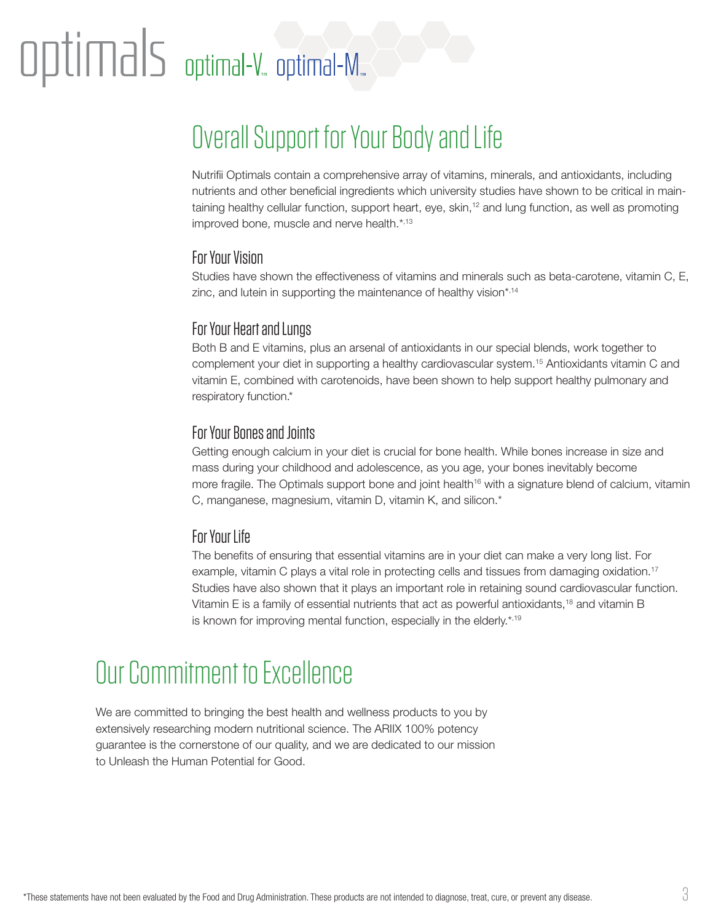## $\operatorname{optimal-}$  aptimal-V, optimal-M,

## Overall Support for Your Body and Life

Nutrifii Optimals contain a comprehensive array of vitamins, minerals, and antioxidants, including nutrients and other beneficial ingredients which university studies have shown to be critical in maintaining healthy cellular function, support heart, eye, skin,<sup>12</sup> and lung function, as well as promoting improved bone, muscle and nerve health.\*,13

#### For Your Vision

Studies have shown the effectiveness of vitamins and minerals such as beta-carotene, vitamin C, E, zinc, and lutein in supporting the maintenance of healthy vision\*,14

#### For Your Heart and Lungs

Both B and E vitamins, plus an arsenal of antioxidants in our special blends, work together to complement your diet in supporting a healthy cardiovascular system.15 Antioxidants vitamin C and vitamin E, combined with carotenoids, have been shown to help support healthy pulmonary and respiratory function.\*

#### For Your Bones and Joints

Getting enough calcium in your diet is crucial for bone health. While bones increase in size and mass during your childhood and adolescence, as you age, your bones inevitably become more fragile. The Optimals support bone and joint health<sup>16</sup> with a signature blend of calcium, vitamin C, manganese, magnesium, vitamin D, vitamin K, and silicon.\*

#### For Your Life

The benefits of ensuring that essential vitamins are in your diet can make a very long list. For example, vitamin C plays a vital role in protecting cells and tissues from damaging oxidation.17 Studies have also shown that it plays an important role in retaining sound cardiovascular function. Vitamin E is a family of essential nutrients that act as powerful antioxidants,<sup>18</sup> and vitamin B is known for improving mental function, especially in the elderly.\*,19

### Our Commitment to Excellence

We are committed to bringing the best health and wellness products to you by extensively researching modern nutritional science. The ARIIX 100% potency guarantee is the cornerstone of our quality, and we are dedicated to our mission to Unleash the Human Potential for Good.